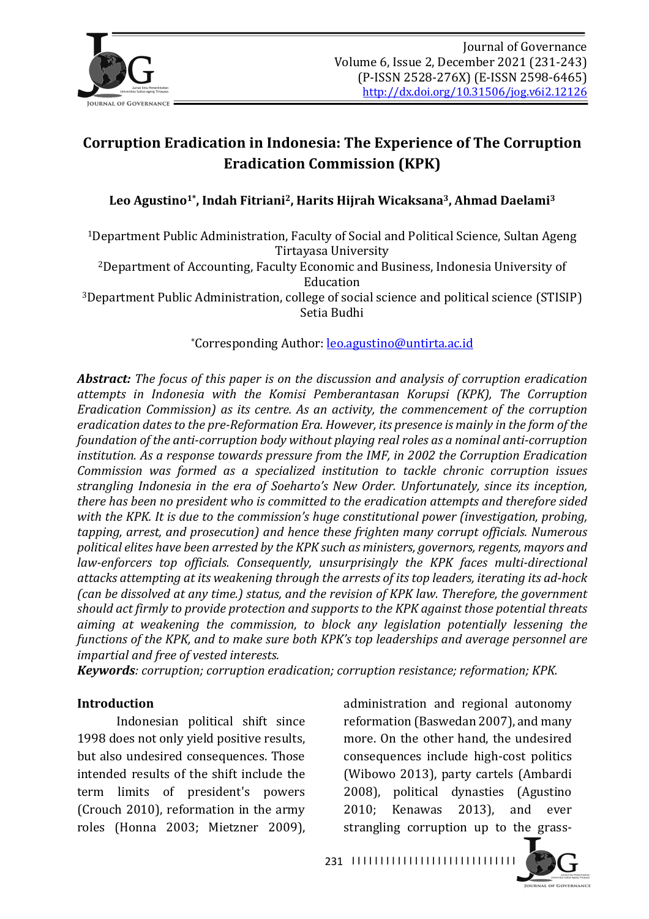

# **Corruption Eradication in Indonesia: The Experience of The Corruption Eradication Commission (KPK)**

Leo Agustino<sup>1\*</sup>, Indah Fitriani<sup>2</sup>, Harits Hijrah Wicaksana<sup>3</sup>, Ahmad Daelami<sup>3</sup>

<sup>1</sup>Department Public Administration, Faculty of Social and Political Science, Sultan Ageng Tirtayasa University 

<sup>2</sup>Department of Accounting, Faculty Economic and Business, Indonesia University of Education 

<sup>3</sup>Department Public Administration, college of social science and political science (STISIP) Setia Budhi

\*Corresponding Author: leo.agustino@untirta.ac.id

*Abstract:* The focus of this paper is on the discussion and analysis of corruption eradication *attempts in Indonesia with the Komisi Pemberantasan Korupsi (KPK), The Corruption Eradication Commission)* as *its centre. As an activity, the commencement of the corruption* eradication dates to the pre-Reformation *Era.* However, its presence is mainly in the form of the *foundation of the anti-corruption body without playing real roles as a nominal anti-corruption institution.* As a response towards pressure from the IMF, in 2002 the Corruption Eradication *Commission was formed as a specialized institution to tackle chronic corruption issues strangling Indonesia in the era of Soeharto's New Order. Unfortunately, since its inception,* there has been no president who is committed to the eradication attempts and therefore sided with the KPK. It is due to the commission's huge constitutional power (investigation, probing, *tapping, arrest, and prosecution)* and hence these frighten many corrupt officials. Numerous political elites have been arrested by the KPK such as ministers, governors, regents, mayors and *law-enforcers top officials. Consequently, unsurprisingly the KPK faces multi-directional* attacks attempting at its weakening through the arrests of its top leaders, iterating its ad-hock *(can be dissolved at any time.) status, and the revision of KPK law. Therefore, the government* should act firmly to provide protection and supports to the KPK against those potential threats *aiming* at weakening the commission, to block any legislation potentially lessening the *functions of the KPK, and to make sure both KPK's top leaderships and average personnel are* impartial and free of vested interests.

*Keywords: corruption; corruption eradication; corruption resistance; reformation; KPK.* 

#### **Introduction**

Indonesian political shift since 1998 does not only yield positive results, but also undesired consequences. Those intended results of the shift include the term limits of president's powers (Crouch 2010), reformation in the army roles (Honna 2003; Mietzner 2009), administration and regional autonomy reformation (Baswedan 2007), and many more. On the other hand, the undesired consequences include high-cost politics (Wibowo 2013), party cartels (Ambardi 2008), political dynasties (Agustino 2010; Kenawas 2013), and ever strangling corruption up to the grass-

I I I I I I I I I I I I I I I I I I I I I I I I I I I I I 231

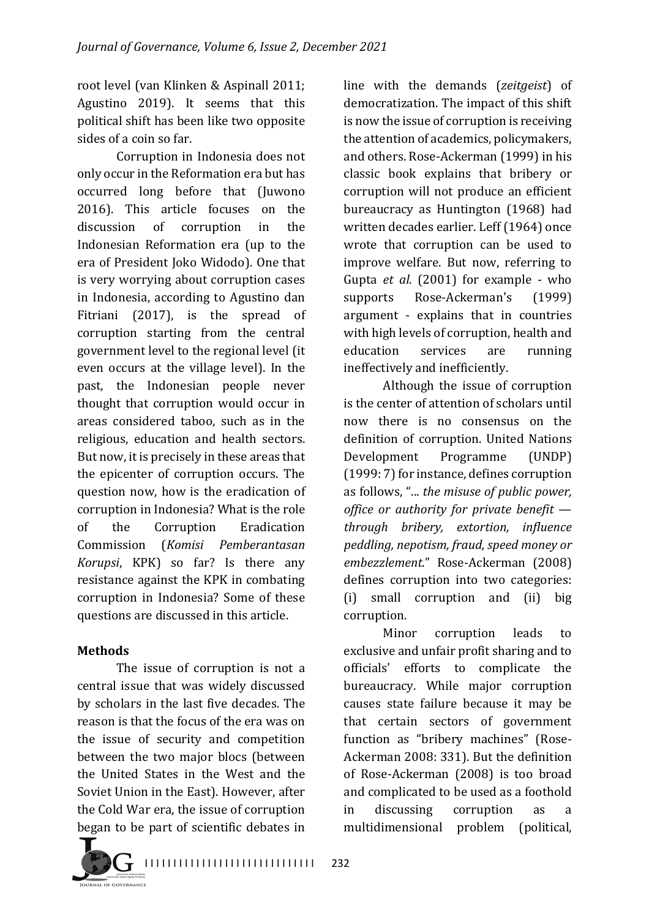root level (van Klinken & Aspinall 2011; Agustino 2019). It seems that this political shift has been like two opposite sides of a coin so far.

Corruption in Indonesia does not only occur in the Reformation era but has occurred long before that (Juwono 2016). This article focuses on the discussion of corruption in the Indonesian Reformation era (up to the era of President Joko Widodo). One that is very worrying about corruption cases in Indonesia, according to Agustino dan Fitriani  $(2017)$ , is the spread of corruption starting from the central government level to the regional level (it even occurs at the village level). In the past, the Indonesian people never thought that corruption would occur in areas considered taboo, such as in the religious, education and health sectors. But now, it is precisely in these areas that the epicenter of corruption occurs. The question now, how is the eradication of corruption in Indonesia? What is the role of the Corruption Eradication Commission (*Komisi Pemberantasan Korupsi*, *KPK*) so far? Is there any resistance against the KPK in combating corruption in Indonesia? Some of these questions are discussed in this article.

## **Methods**

The issue of corruption is not a central issue that was widely discussed by scholars in the last five decades. The reason is that the focus of the era was on the issue of security and competition between the two major blocs (between the United States in the West and the Soviet Union in the East). However, after the Cold War era, the issue of corruption began to be part of scientific debates in

line with the demands (*zeitgeist*) of democratization. The impact of this shift is now the issue of corruption is receiving the attention of academics, policymakers, and others. Rose-Ackerman (1999) in his classic book explains that bribery or corruption will not produce an efficient bureaucracy as Huntington (1968) had written decades earlier. Leff (1964) once wrote that corruption can be used to improve welfare. But now, referring to Gupta *et al.* (2001) for example - who supports Rose-Ackerman's (1999) argument - explains that in countries with high levels of corruption, health and education services are running ineffectively and inefficiently.

Although the issue of corruption is the center of attention of scholars until now there is no consensus on the definition of corruption. United Nations Development Programme (UNDP) (1999: 7) for instance, defines corruption as follows, "... *the misuse of public power*, *office or authority for private benefit through bribery, extortion, influence peddling, nepotism, fraud, speed money or embezzlement*." Rose-Ackerman (2008) defines corruption into two categories: (i) small corruption and (ii) big corruption. 

Minor corruption leads to exclusive and unfair profit sharing and to officials' efforts to complicate the bureaucracy. While major corruption causes state failure because it may be that certain sectors of government function as "bribery machines" (Rose-Ackerman 2008: 331). But the definition of Rose-Ackerman (2008) is too broad and complicated to be used as a foothold in discussing corruption as a multidimensional problem (political,

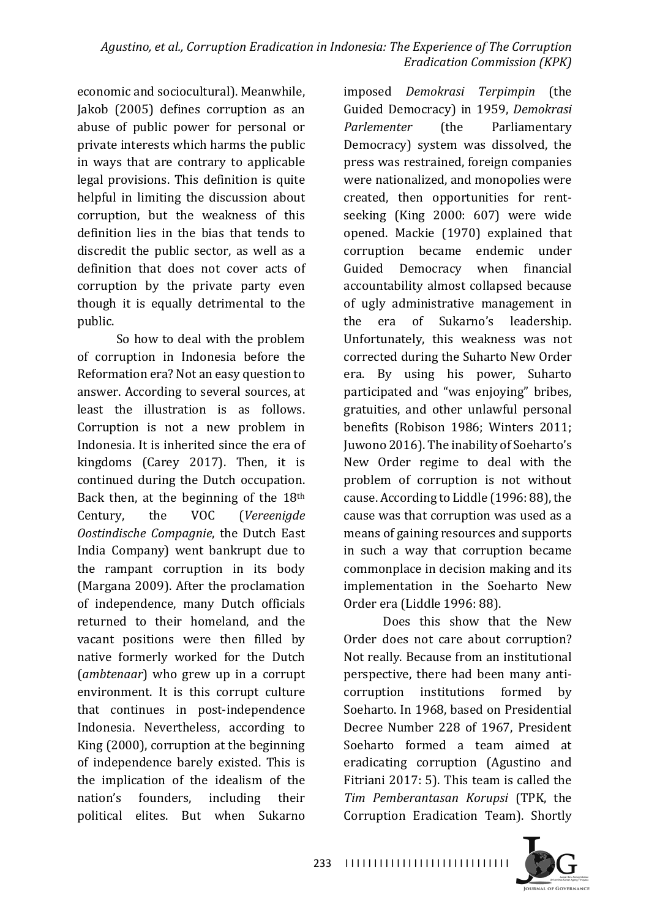economic and sociocultural). Meanwhile, Jakob (2005) defines corruption as an abuse of public power for personal or private interests which harms the public in ways that are contrary to applicable legal provisions. This definition is quite helpful in limiting the discussion about corruption, but the weakness of this definition lies in the bias that tends to discredit the public sector, as well as a definition that does not cover acts of corruption by the private party even though it is equally detrimental to the public.

So how to deal with the problem of corruption in Indonesia before the Reformation era? Not an easy question to answer. According to several sources, at least the illustration is as follows. Corruption is not a new problem in Indonesia. It is inherited since the era of kingdoms (Carey 2017). Then, it is continued during the Dutch occupation. Back then, at the beginning of the  $18<sup>th</sup>$ Century, the VOC (Vereenigde *Oostindische Compagnie*, the Dutch East India Company) went bankrupt due to the rampant corruption in its body (Margana 2009). After the proclamation of independence, many Dutch officials returned to their homeland, and the vacant positions were then filled by native formerly worked for the Dutch (*ambtenaar*) who grew up in a corrupt environment. It is this corrupt culture that continues in post-independence Indonesia. Nevertheless, according to King (2000), corruption at the beginning of independence barely existed. This is the implication of the idealism of the nation's founders, including their political elites. But when Sukarno 

imposed *Demokrasi Terpimpin* (the Guided Democracy) in 1959, *Demokrasi* **Parlementer** (the Parliamentary Democracy) system was dissolved, the press was restrained, foreign companies were nationalized, and monopolies were created, then opportunities for rentseeking (King 2000: 607) were wide opened. Mackie (1970) explained that corruption became endemic under Guided Democracy when financial accountability almost collapsed because of ugly administrative management in the era of Sukarno's leadership. Unfortunately, this weakness was not corrected during the Suharto New Order era. By using his power, Suharto participated and "was enjoying" bribes, gratuities, and other unlawful personal benefits (Robison 1986; Winters 2011; Juwono 2016). The inability of Soeharto's New Order regime to deal with the problem of corruption is not without cause. According to Liddle (1996: 88), the cause was that corruption was used as a means of gaining resources and supports in such a way that corruption became commonplace in decision making and its implementation in the Soeharto New Order era (Liddle 1996: 88).

Does this show that the New Order does not care about corruption? Not really. Because from an institutional perspective, there had been many anticorruption institutions formed by Soeharto. In 1968, based on Presidential Decree Number 228 of 1967, President Soeharto formed a team aimed at eradicating corruption (Agustino and Fitriani  $2017: 5$ ). This team is called the *Tim Pemberantasan Korupsi* (TPK, the Corruption Eradication Team). Shortly 

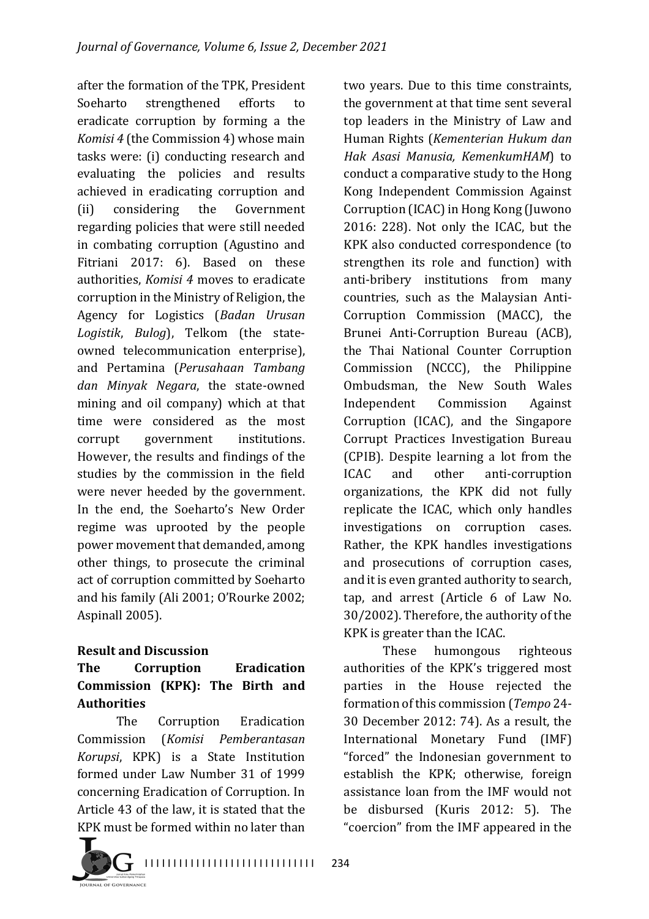after the formation of the TPK, President Soeharto strengthened efforts to eradicate corruption by forming a the *Komisi* 4 (the Commission 4) whose main tasks were: (i) conducting research and evaluating the policies and results achieved in eradicating corruption and (ii) considering the Government regarding policies that were still needed in combating corruption (Agustino and Fitriani 2017: 6). Based on these authorities, *Komisi 4* moves to eradicate corruption in the Ministry of Religion, the Agency for Logistics (*Badan Urusan*  Logistik, Bulog), Telkom (the stateowned telecommunication enterprise), and Pertamina (*Perusahaan Tambang dan Minyak Negara*, the state-owned mining and oil company) which at that time were considered as the most corrupt government institutions. However, the results and findings of the studies by the commission in the field were never heeded by the government. In the end, the Soeharto's New Order regime was uprooted by the people power movement that demanded, among other things, to prosecute the criminal act of corruption committed by Soeharto and his family (Ali 2001; O'Rourke 2002; Aspinall 2005).

## **Result and Discussion**

## **The Corruption Eradication Commission (KPK): The Birth and Authorities**

The Corruption Eradication Commission (*Komisi Pemberantasan Korupsi*, KPK) is a State Institution formed under Law Number 31 of 1999 concerning Eradication of Corruption. In Article 43 of the law, it is stated that the KPK must be formed within no later than two years. Due to this time constraints, the government at that time sent several top leaders in the Ministry of Law and Human Rights (*Kementerian Hukum dan Hak Asasi Manusia, KemenkumHAM*) to conduct a comparative study to the Hong Kong Independent Commission Against Corruption (ICAC) in Hong Kong (Juwono 2016: 228). Not only the ICAC, but the KPK also conducted correspondence (to strengthen its role and function) with anti-bribery institutions from many countries, such as the Malaysian Anti-Corruption Commission (MACC), the Brunei Anti-Corruption Bureau (ACB), the Thai National Counter Corruption Commission (NCCC), the Philippine Ombudsman, the New South Wales Independent Commission Against Corruption (ICAC), and the Singapore Corrupt Practices Investigation Bureau (CPIB). Despite learning a lot from the ICAC and other anti-corruption organizations, the KPK did not fully replicate the ICAC, which only handles investigations on corruption cases. Rather, the KPK handles investigations and prosecutions of corruption cases, and it is even granted authority to search, tap, and arrest (Article 6 of Law No. 30/2002). Therefore, the authority of the KPK is greater than the ICAC.

These humongous righteous authorities of the KPK's triggered most parties in the House rejected the formation of this commission (Tempo 24-30 December 2012: 74). As a result, the International Monetary Fund (IMF) "forced" the Indonesian government to establish the KPK; otherwise, foreign assistance loan from the IMF would not be disbursed (Kuris 2012: 5). The "coercion" from the IMF appeared in the

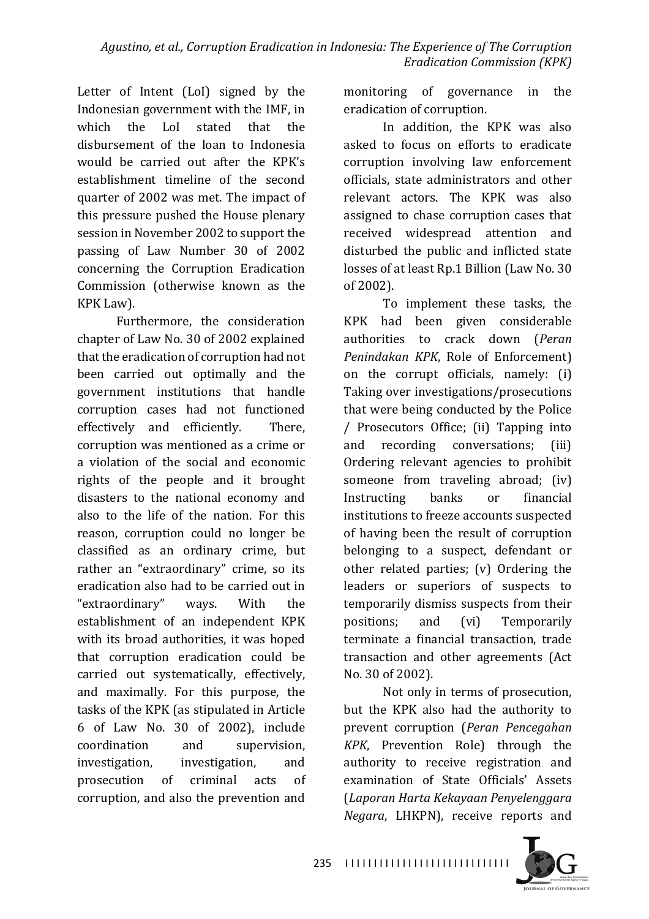Letter of Intent (LoI) signed by the Indonesian government with the IMF, in which the LoI stated that the disbursement of the loan to Indonesia would be carried out after the KPK's establishment timeline of the second quarter of 2002 was met. The impact of this pressure pushed the House plenary session in November 2002 to support the passing of Law Number 30 of 2002 concerning the Corruption Eradication Commission (otherwise known as the KPK Law).

Furthermore, the consideration chapter of Law No. 30 of 2002 explained that the eradication of corruption had not been carried out optimally and the government institutions that handle corruption cases had not functioned effectively and efficiently. There, corruption was mentioned as a crime or a violation of the social and economic rights of the people and it brought disasters to the national economy and also to the life of the nation. For this reason, corruption could no longer be classified as an ordinary crime, but rather an "extraordinary" crime, so its eradication also had to be carried out in "extraordinary" ways. With the establishment of an independent KPK with its broad authorities, it was hoped that corruption eradication could be carried out systematically, effectively, and maximally. For this purpose, the tasks of the KPK (as stipulated in Article 6 of Law No. 30 of 2002), include coordination and supervision, investigation, investigation, and prosecution of criminal acts of corruption, and also the prevention and

monitoring of governance in the eradication of corruption.

In addition, the KPK was also asked to focus on efforts to eradicate corruption involving law enforcement officials, state administrators and other relevant actors. The KPK was also assigned to chase corruption cases that received widespread attention and disturbed the public and inflicted state losses of at least Rp.1 Billion (Law No. 30 of 2002).

To implement these tasks, the KPK had been given considerable authorities to crack down (*Peran*  Penindakan KPK, Role of Enforcement) on the corrupt officials, namely: (i) Taking over investigations/prosecutions that were being conducted by the Police / Prosecutors Office; (ii) Tapping into and recording conversations; (iii) Ordering relevant agencies to prohibit someone from traveling abroad; (iv) Instructing banks or financial institutions to freeze accounts suspected of having been the result of corruption belonging to a suspect, defendant or other related parties;  $(v)$  Ordering the leaders or superiors of suspects to temporarily dismiss suspects from their positions; and (vi) Temporarily terminate a financial transaction, trade transaction and other agreements (Act No. 30 of 2002).

Not only in terms of prosecution, but the KPK also had the authority to prevent corruption (Peran Pencegahan *KPK*, Prevention Role) through the authority to receive registration and examination of State Officials' Assets (*Laporan Harta Kekayaan Penyelenggara Negara*, LHKPN), receive reports and



I I I I I I I I I I I I I I I I I I I I I I I I I I I I I 235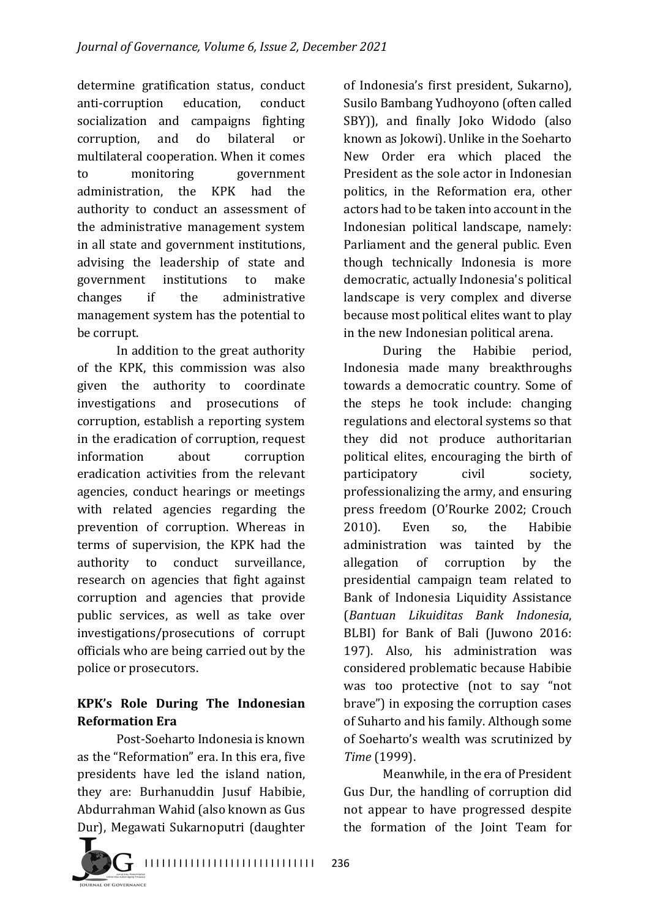determine gratification status, conduct anti-corruption education, conduct socialization and campaigns fighting corruption, and do bilateral or multilateral cooperation. When it comes to monitoring government administration, the KPK had the authority to conduct an assessment of the administrative management system in all state and government institutions, advising the leadership of state and government institutions to make changes if the administrative management system has the potential to be corrupt.

In addition to the great authority of the KPK, this commission was also given the authority to coordinate investigations and prosecutions of corruption, establish a reporting system in the eradication of corruption, request information about corruption eradication activities from the relevant agencies, conduct hearings or meetings with related agencies regarding the prevention of corruption. Whereas in terms of supervision, the KPK had the authority to conduct surveillance, research on agencies that fight against corruption and agencies that provide public services, as well as take over investigations/prosecutions of corrupt officials who are being carried out by the police or prosecutors.

## **KPK's Role During The Indonesian Reformation Era**

Post-Soeharto Indonesia is known as the "Reformation" era. In this era, five presidents have led the island nation, they are: Burhanuddin Jusuf Habibie, Abdurrahman Wahid (also known as Gus Dur), Megawati Sukarnoputri (daughter of Indonesia's first president, Sukarno), Susilo Bambang Yudhoyono (often called SBY)), and finally Joko Widodo (also known as Jokowi). Unlike in the Soeharto New Order era which placed the President as the sole actor in Indonesian politics, in the Reformation era, other actors had to be taken into account in the Indonesian political landscape, namely: Parliament and the general public. Even though technically Indonesia is more democratic, actually Indonesia's political landscape is very complex and diverse because most political elites want to play in the new Indonesian political arena.

During the Habibie period, Indonesia made many breakthroughs towards a democratic country. Some of the steps he took include: changing regulations and electoral systems so that they did not produce authoritarian political elites, encouraging the birth of participatory civil society, professionalizing the army, and ensuring press freedom (O'Rourke 2002; Crouch 2010). Even so, the Habibie administration was tainted by the allegation of corruption by the presidential campaign team related to Bank of Indonesia Liquidity Assistance (*Bantuan Likuiditas Bank Indonesia*, BLBI) for Bank of Bali (Juwono 2016: 197). Also, his administration was considered problematic because Habibie was too protective (not to say "not brave") in exposing the corruption cases of Suharto and his family. Although some of Soeharto's wealth was scrutinized by *Time* (1999).

Meanwhile, in the era of President Gus Dur, the handling of corruption did not appear to have progressed despite the formation of the Joint Team for

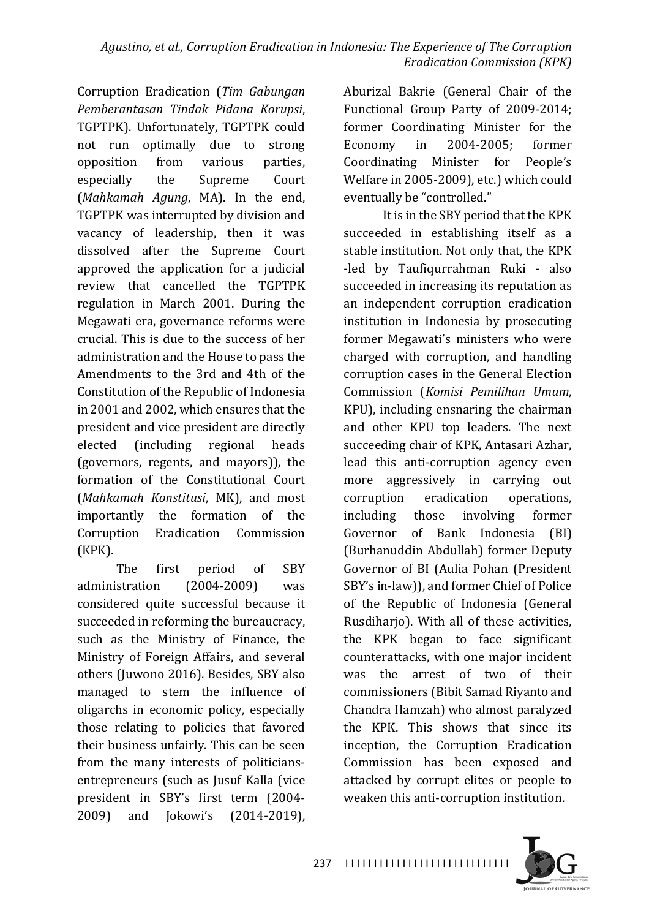Corruption Eradication (*Tim Gabungan Pemberantasan Tindak Pidana Korupsi*, TGPTPK). Unfortunately, TGPTPK could not run optimally due to strong opposition from various parties, especially the Supreme Court (*Mahkamah Agung*, MA). In the end, TGPTPK was interrupted by division and vacancy of leadership, then it was dissolved after the Supreme Court approved the application for a judicial review that cancelled the TGPTPK regulation in March 2001. During the Megawati era, governance reforms were crucial. This is due to the success of her administration and the House to pass the Amendments to the 3rd and 4th of the Constitution of the Republic of Indonesia in 2001 and 2002, which ensures that the president and vice president are directly elected (including regional heads (governors, regents, and mayors)), the formation of the Constitutional Court (*Mahkamah Konstitusi*, MK), and most importantly the formation of the Corruption Eradication Commission (KPK).

The first period of SBY administration (2004-2009) was considered quite successful because it succeeded in reforming the bureaucracy, such as the Ministry of Finance, the Ministry of Foreign Affairs, and several others (Juwono 2016). Besides, SBY also managed to stem the influence of oligarchs in economic policy, especially those relating to policies that favored their business unfairly. This can be seen from the many interests of politiciansentrepreneurs (such as Jusuf Kalla (vice president in SBY's first term (2004-2009) and Jokowi's (2014-2019), 

Aburizal Bakrie (General Chair of the Functional Group Party of 2009-2014; former Coordinating Minister for the Economy in 2004-2005; former Coordinating Minister for People's Welfare in 2005-2009), etc.) which could eventually be "controlled."

It is in the SBY period that the KPK succeeded in establishing itself as a stable institution. Not only that, the KPK -led by Taufiqurrahman Ruki - also succeeded in increasing its reputation as an independent corruption eradication institution in Indonesia by prosecuting former Megawati's ministers who were charged with corruption, and handling corruption cases in the General Election Commission (*Komisi Pemilihan Umum*, KPU), including ensnaring the chairman and other KPU top leaders. The next succeeding chair of KPK, Antasari Azhar, lead this anti-corruption agency even more aggressively in carrying out corruption eradication operations, including those involving former Governor of Bank Indonesia (BI) (Burhanuddin Abdullah) former Deputy Governor of BI (Aulia Pohan (President SBY's in-law)), and former Chief of Police of the Republic of Indonesia (General Rusdiharjo). With all of these activities, the KPK began to face significant counterattacks, with one major incident was the arrest of two of their commissioners (Bibit Samad Riyanto and Chandra Hamzah) who almost paralyzed the KPK. This shows that since its inception, the Corruption Eradication Commission has been exposed and attacked by corrupt elites or people to weaken this anti-corruption institution.

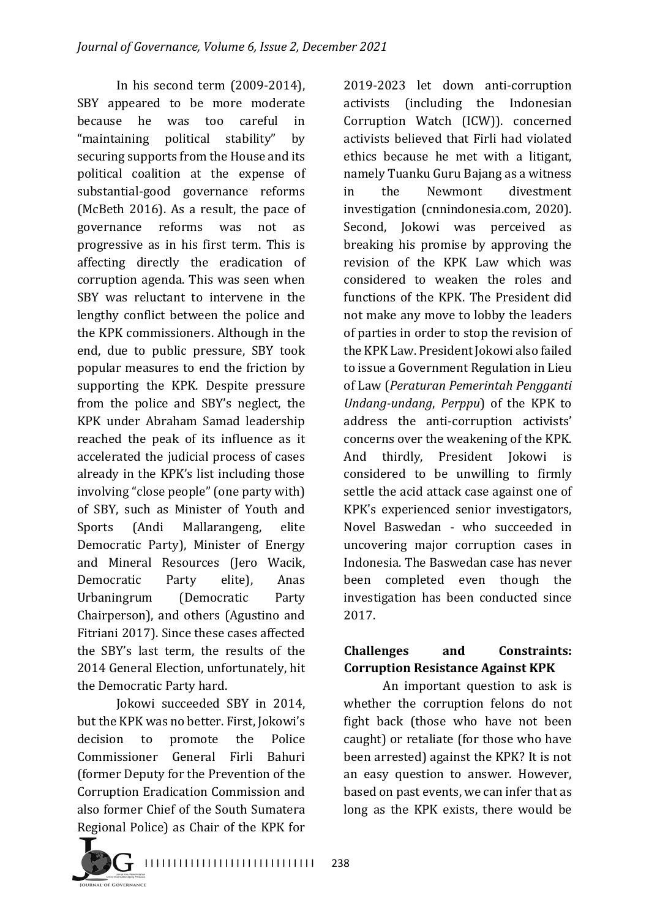In his second term  $(2009-2014)$ , SBY appeared to be more moderate because he was too careful in "maintaining political stability" by securing supports from the House and its political coalition at the expense of substantial-good governance reforms (McBeth 2016). As a result, the pace of governance reforms was not as progressive as in his first term. This is affecting directly the eradication of corruption agenda. This was seen when SBY was reluctant to intervene in the lengthy conflict between the police and the KPK commissioners. Although in the end, due to public pressure, SBY took popular measures to end the friction by supporting the KPK. Despite pressure from the police and SBY's neglect, the KPK under Abraham Samad leadership reached the peak of its influence as it accelerated the judicial process of cases already in the KPK's list including those involving "close people" (one party with) of SBY, such as Minister of Youth and Sports (Andi Mallarangeng, elite Democratic Party), Minister of Energy and Mineral Resources (Jero Wacik, Democratic Party elite), Anas Urbaningrum (Democratic Party Chairperson), and others (Agustino and Fitriani 2017). Since these cases affected the SBY's last term, the results of the 2014 General Election, unfortunately, hit the Democratic Party hard.

Jokowi succeeded SBY in 2014, but the KPK was no better. First, Jokowi's decision to promote the Police Commissioner General Firli Bahuri (former Deputy for the Prevention of the Corruption Eradication Commission and also former Chief of the South Sumatera Regional Police) as Chair of the KPK for 2019-2023 let down anti-corruption activists (including the Indonesian Corruption Watch (ICW)). concerned activists believed that Firli had violated ethics because he met with a litigant, namely Tuanku Guru Bajang as a witness in the Newmont divestment investigation (cnnindonesia.com, 2020). Second, Jokowi was perceived as breaking his promise by approving the revision of the KPK Law which was considered to weaken the roles and functions of the KPK. The President did not make any move to lobby the leaders of parties in order to stop the revision of the KPK Law. President Jokowi also failed to issue a Government Regulation in Lieu of Law (Peraturan Pemerintah Pengganti *Undang-undang, Perppu*) of the KPK to address the anti-corruption activists' concerns over the weakening of the KPK. And thirdly, President Jokowi is considered to be unwilling to firmly settle the acid attack case against one of KPK's experienced senior investigators, Novel Baswedan - who succeeded in uncovering major corruption cases in Indonesia. The Baswedan case has never been completed even though the investigation has been conducted since 2017.

## **Challenges and Constraints: Corruption Resistance Against KPK**

An important question to ask is whether the corruption felons do not fight back (those who have not been caught) or retaliate (for those who have been arrested) against the KPK? It is not an easy question to answer. However, based on past events, we can infer that as long as the KPK exists, there would be

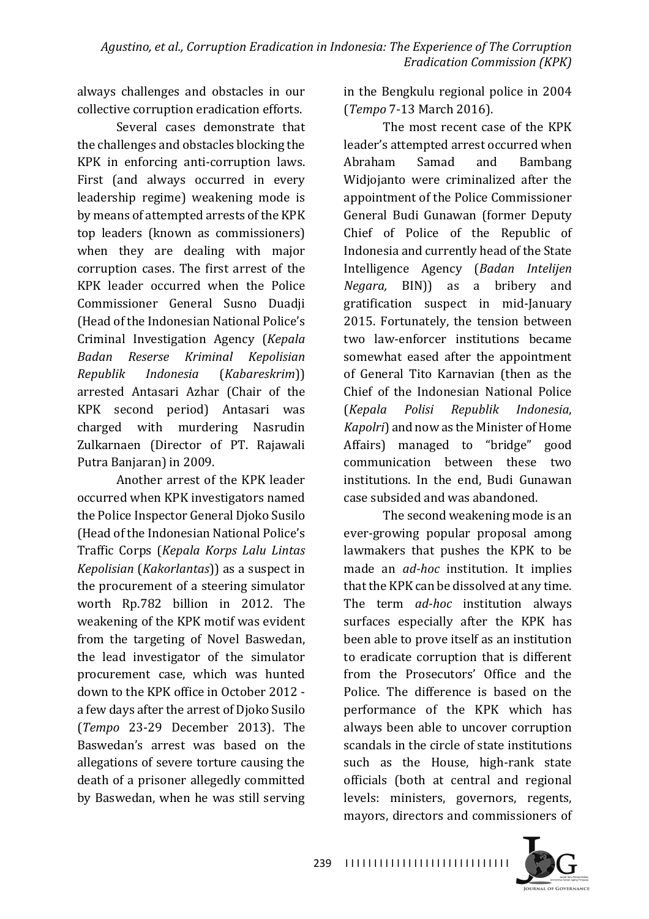always challenges and obstacles in our collective corruption eradication efforts.

Several cases demonstrate that the challenges and obstacles blocking the KPK in enforcing anti-corruption laws. First (and always occurred in every leadership regime) weakening mode is by means of attempted arrests of the KPK top leaders (known as commissioners) when they are dealing with major corruption cases. The first arrest of the KPK leader occurred when the Police Commissioner General Susno Duadii (Head of the Indonesian National Police's Criminal Investigation Agency (*Kepala Badan Reserse Kriminal Kepolisian Republik Indonesia* (*Kabareskrim*)) arrested Antasari Azhar (Chair of the KPK second period) Antasari was charged with murdering Nasrudin Zulkarnaen (Director of PT. Rajawali Putra Banjaran) in 2009.

Another arrest of the KPK leader occurred when KPK investigators named the Police Inspector General Dioko Susilo (Head of the Indonesian National Police's Traffic Corps (*Kepala Korps Lalu Lintas Kepolisian* (*Kakorlantas*)) as a suspect in the procurement of a steering simulator worth Rp.782 billion in 2012. The weakening of the KPK motif was evident from the targeting of Novel Baswedan, the lead investigator of the simulator procurement case, which was hunted down to the KPK office in October 2012 a few days after the arrest of Djoko Susilo (*Tempo*  23-29 December 2013). The Baswedan's arrest was based on the allegations of severe torture causing the death of a prisoner allegedly committed by Baswedan, when he was still serving

in the Bengkulu regional police in 2004 (*Tempo* 7-13 March 2016).

The most recent case of the KPK leader's attempted arrest occurred when Abraham Samad and Bambang Widiojanto were criminalized after the appointment of the Police Commissioner General Budi Gunawan (former Deputy Chief of Police of the Republic of Indonesia and currently head of the State Intelligence Agency (*Badan Intelijen Negara*, BIN)) as a bribery and gratification suspect in mid-January 2015. Fortunately, the tension between two law-enforcer institutions became somewhat eased after the appointment of General Tito Karnavian (then as the Chief of the Indonesian National Police (*Kepala Polisi Republik Indonesia*, *Kapolri*) and now as the Minister of Home Affairs) managed to "bridge" good communication between these two institutions. In the end, Budi Gunawan case subsided and was abandoned.

The second weakening mode is an ever-growing popular proposal among lawmakers that pushes the KPK to be made an *ad-hoc* institution. It implies that the KPK can be dissolved at any time. The term *ad-hoc* institution always surfaces especially after the KPK has been able to prove itself as an institution to eradicate corruption that is different from the Prosecutors' Office and the Police. The difference is based on the performance of the KPK which has always been able to uncover corruption scandals in the circle of state institutions such as the House, high-rank state officials (both at central and regional levels: ministers, governors, regents, mayors, directors and commissioners of

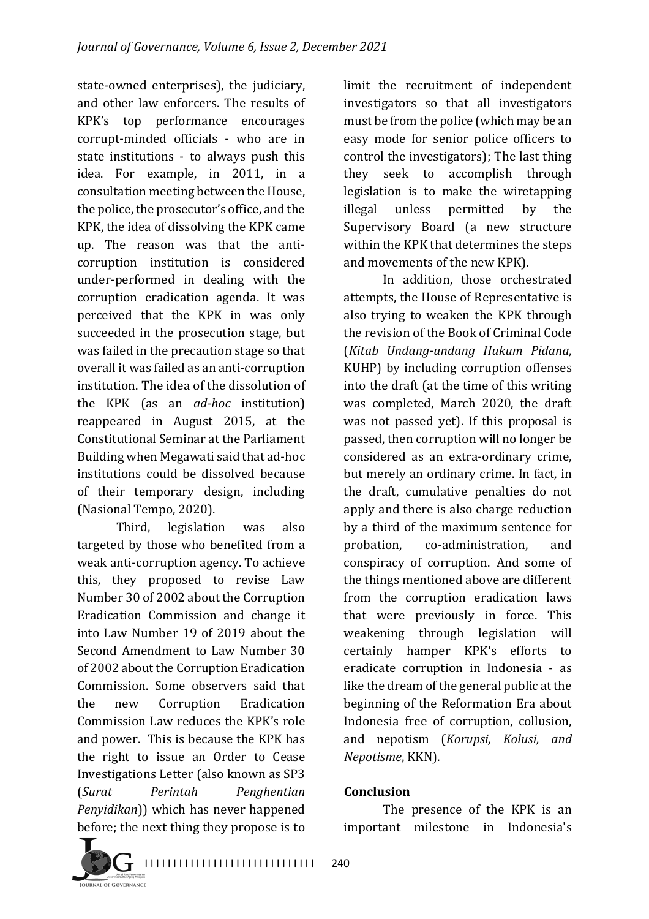state-owned enterprises), the judiciary, and other law enforcers. The results of KPK's top performance encourages corrupt-minded officials - who are in state institutions - to always push this idea. For example, in 2011, in a consultation meeting between the House, the police, the prosecutor's office, and the KPK, the idea of dissolving the KPK came up. The reason was that the anticorruption institution is considered under-performed in dealing with the corruption eradication agenda. It was perceived that the KPK in was only succeeded in the prosecution stage, but was failed in the precaution stage so that overall it was failed as an anti-corruption institution. The idea of the dissolution of the KPK (as an *ad-hoc*  institution) reappeared in August 2015, at the Constitutional Seminar at the Parliament Building when Megawati said that ad-hoc institutions could be dissolved because of their temporary design, including (Nasional Tempo, 2020).

Third, legislation was also targeted by those who benefited from a weak anti-corruption agency. To achieve this, they proposed to revise Law Number 30 of 2002 about the Corruption Eradication Commission and change it into Law Number 19 of 2019 about the Second Amendment to Law Number 30 of 2002 about the Corruption Eradication Commission. Some observers said that the new Corruption Eradication Commission Law reduces the KPK's role and power. This is because the KPK has the right to issue an Order to Cease Investigations Letter (also known as SP3 (*Surat Perintah Penghentian Penyidikan*)) which has never happened before; the next thing they propose is to

limit the recruitment of independent investigators so that all investigators must be from the police (which may be an easy mode for senior police officers to control the investigators); The last thing they seek to accomplish through legislation is to make the wiretapping illegal unless permitted by the Supervisory Board (a new structure within the KPK that determines the steps and movements of the new KPK).

In addition, those orchestrated attempts, the House of Representative is also trying to weaken the KPK through the revision of the Book of Criminal Code (*Kitab Undang-undang Hukum Pidana*, KUHP) by including corruption offenses into the draft (at the time of this writing was completed, March 2020, the draft was not passed yet). If this proposal is passed, then corruption will no longer be considered as an extra-ordinary crime, but merely an ordinary crime. In fact, in the draft, cumulative penalties do not apply and there is also charge reduction by a third of the maximum sentence for probation, co-administration, and conspiracy of corruption. And some of the things mentioned above are different from the corruption eradication laws that were previously in force. This weakening through legislation will certainly hamper KPK's efforts to eradicate corruption in Indonesia - as like the dream of the general public at the beginning of the Reformation Era about Indonesia free of corruption, collusion, and nepotism (*Korupsi, Kolusi, and Nepotisme*, KKN).

#### **Conclusion**

The presence of the KPK is an important milestone in Indonesia's

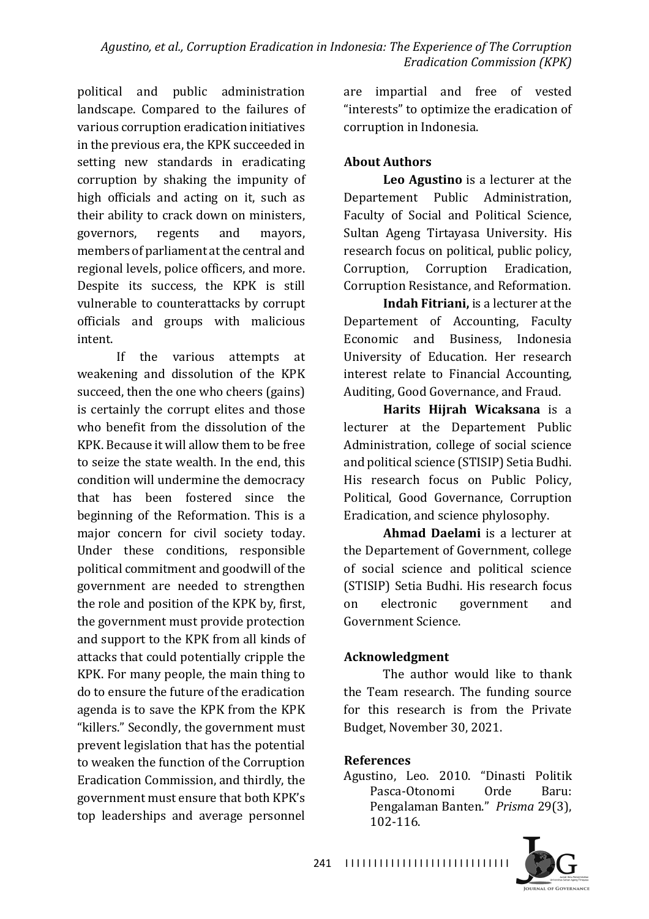political and public administration landscape. Compared to the failures of various corruption eradication initiatives in the previous era, the KPK succeeded in setting new standards in eradicating corruption by shaking the impunity of high officials and acting on it, such as their ability to crack down on ministers, governors, regents and mayors, members of parliament at the central and regional levels, police officers, and more. Despite its success, the KPK is still vulnerable to counterattacks by corrupt officials and groups with malicious intent.

If the various attempts at weakening and dissolution of the KPK succeed, then the one who cheers (gains) is certainly the corrupt elites and those who benefit from the dissolution of the KPK. Because it will allow them to be free to seize the state wealth. In the end, this condition will undermine the democracy that has been fostered since the beginning of the Reformation. This is a major concern for civil society today. Under these conditions, responsible political commitment and goodwill of the government are needed to strengthen the role and position of the KPK by, first, the government must provide protection and support to the KPK from all kinds of attacks that could potentially cripple the KPK. For many people, the main thing to do to ensure the future of the eradication agenda is to save the KPK from the KPK "killers." Secondly, the government must prevent legislation that has the potential to weaken the function of the Corruption Eradication Commission, and thirdly, the government must ensure that both KPK's top leaderships and average personnel

are impartial and free of vested "interests" to optimize the eradication of corruption in Indonesia.

#### **About Authors**

**Leo Agustino** is a lecturer at the Departement Public Administration, Faculty of Social and Political Science, Sultan Ageng Tirtayasa University. His research focus on political, public policy, Corruption, Corruption Eradication, Corruption Resistance, and Reformation.

**Indah Fitriani,** is a lecturer at the Departement of Accounting, Faculty Economic and Business, Indonesia University of Education. Her research interest relate to Financial Accounting, Auditing, Good Governance, and Fraud.

**Harits Hijrah Wicaksana** is a lecturer at the Departement Public Administration, college of social science and political science (STISIP) Setia Budhi. His research focus on Public Policy, Political, Good Governance, Corruption Eradication, and science phylosophy.

**Ahmad Daelami** is a lecturer at the Departement of Government, college of social science and political science (STISIP) Setia Budhi. His research focus on electronic government and Government Science.

#### **Acknowledgment**

The author would like to thank the Team research. The funding source for this research is from the Private Budget, November 30, 2021.

#### **References**

Agustino, Leo. 2010. "Dinasti Politik Pasca-Otonomi Orde Baru: Pengalaman Banten." *Prisma* 29(3), 102-116.



I I I I I I I I I I I I I I I I I I I I I I I I I I I I I 241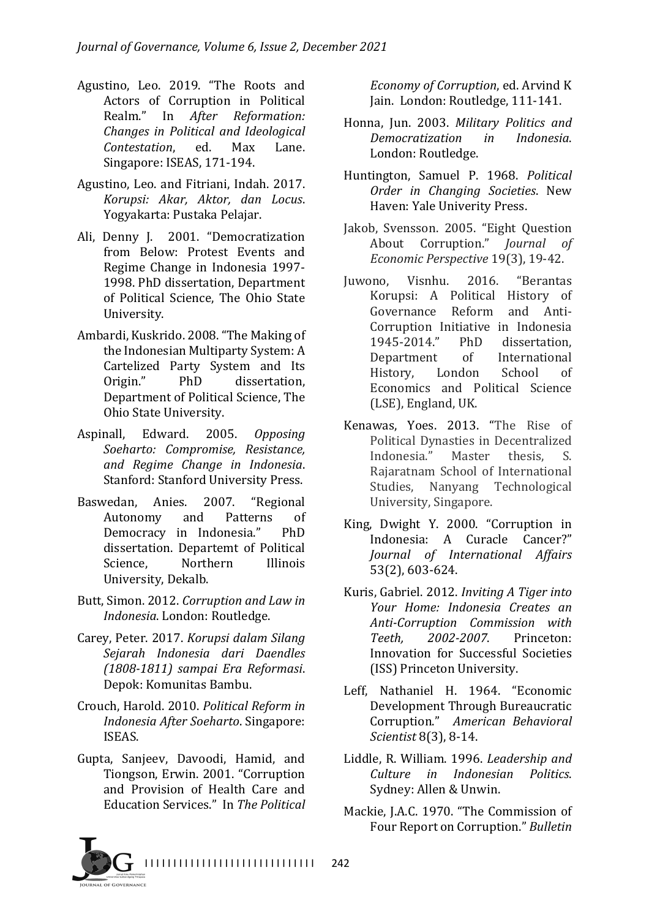- Agustino, Leo. 2019. "The Roots and Actors of Corruption in Political Realm." In *After Reformation: Changes in Political and Ideological Contestation*, ed. Max Lane. Singapore: ISEAS, 171-194.
- Agustino, Leo. and Fitriani, Indah. 2017. *Korupsi: Akar, Aktor, dan Locus*. Yogyakarta: Pustaka Pelajar.
- Ali, Denny J. 2001. "Democratization from Below: Protest Events and Regime Change in Indonesia 1997-1998. PhD dissertation, Department of Political Science. The Ohio State University.
- Ambardi, Kuskrido. 2008. "The Making of the Indonesian Multiparty System: A Cartelized Party System and Its Origin." PhD dissertation. Department of Political Science, The Ohio State University.
- Aspinall, Edward. 2005. Opposing *Soeharto: Compromise, Resistance, and Regime Change in Indonesia*. Stanford: Stanford University Press.
- Baswedan, Anies. 2007. "Regional Autonomy and Patterns of Democracy in Indonesia." PhD dissertation. Departemt of Political Science. Northern Illinois University, Dekalb.
- Butt, Simon. 2012. *Corruption and Law in Indonesia.* London: Routledge.
- Carey, Peter. 2017. *Korupsi dalam Silang Sejarah Indonesia dari Daendles (1808-1811) sampai Era Reformasi*. Depok: Komunitas Bambu.
- Crouch, Harold. 2010. Political Reform in *Indonesia After Soeharto*. Singapore: ISEAS.
- Gupta, Sanjeev, Davoodi, Hamid, and Tiongson, Erwin. 2001. "Corruption and Provision of Health Care and Education Services." In The Political

*Economy of Corruption, ed. Arvind K* Jain. London: Routledge, 111-141.

- Honna, Jun. 2003. Military Politics and *Democratization in Indonesia*. London: Routledge.
- Huntington, Samuel P. 1968. *Political Order in Changing Societies*. New Haven: Yale Univerity Press.
- Jakob, Svensson. 2005. "Eight Question About Corruption." *Journal of Economic Perspective* 19(3), 19-42.
- Juwono, Visnhu. 2016. "Berantas Korupsi: A Political History of Governance Reform and Anti-Corruption Initiative in Indonesia 1945-2014." PhD dissertation, Department of International History, London School of Economics and Political Science (LSE), England, UK.
- Kenawas, Yoes. 2013. "The Rise of Political Dynasties in Decentralized Indonesia." Master thesis, S. Rajaratnam School of International Studies, Nanyang Technological University, Singapore.
- King, Dwight Y. 2000. "Corruption in Indonesia: A Curacle Cancer?" *Journal of International Affairs* 53(2), 603-624.
- Kuris, Gabriel. 2012. *Inviting A Tiger into Your Home: Indonesia Creates an Anti-Corruption Commission with Teeth, 2002-2007*. Princeton: Innovation for Successful Societies (ISS) Princeton University.
- Leff, Nathaniel H. 1964. "Economic Development Through Bureaucratic Corruption." American Behavioral *Scientist* 8(3), 8-14.
- Liddle, R. William. 1996. *Leadership and Culture in Indonesian Politics*. Sydney: Allen & Unwin.
- Mackie, J.A.C. 1970. "The Commission of Four Report on Corruption." Bulletin